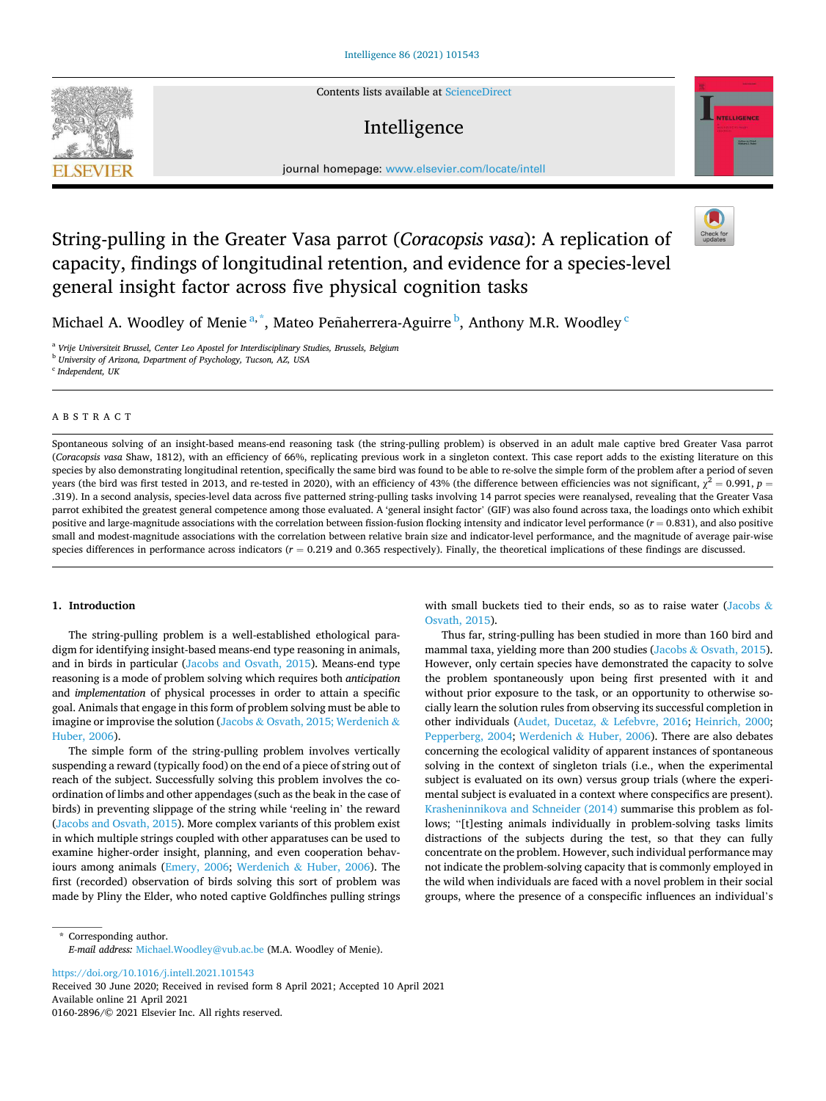Contents lists available at [ScienceDirect](www.sciencedirect.com/science/journal/01602896)

## Intelligence



journal homepage: [www.elsevier.com/locate/intell](https://www.elsevier.com/locate/intell) 

# String-pulling in the Greater Vasa parrot (*Coracopsis vasa*): A replication of capacity, findings of longitudinal retention, and evidence for a species-level general insight factor across five physical cognition tasks



Michael A. Woodley of Menie<sup>a,\*</sup>, Mateo Peñaherrera-Aguirre<sup>b</sup>, Anthony M.R. Woodley <sup>c</sup>

<sup>a</sup> *Vrije Universiteit Brussel, Center Leo Apostel for Interdisciplinary Studies, Brussels, Belgium* 

<sup>b</sup> *University of Arizona, Department of Psychology, Tucson, AZ, USA* 

c *Independent, UK* 

**SEVIER** 

#### ABSTRACT

Spontaneous solving of an insight-based means-end reasoning task (the string-pulling problem) is observed in an adult male captive bred Greater Vasa parrot (*Coracopsis vasa* Shaw, 1812), with an efficiency of 66%, replicating previous work in a singleton context. This case report adds to the existing literature on this species by also demonstrating longitudinal retention, specifically the same bird was found to be able to re-solve the simple form of the problem after a period of seven years (the bird was first tested in 2013, and re-tested in 2020), with an efficiency of 43% (the difference between efficiencies was not significant,  $\chi^2=0.991$ ,  $p=$ .319). In a second analysis, species-level data across five patterned string-pulling tasks involving 14 parrot species were reanalysed, revealing that the Greater Vasa parrot exhibited the greatest general competence among those evaluated. A 'general insight factor' (GIF) was also found across taxa, the loadings onto which exhibit positive and large-magnitude associations with the correlation between fission-fusion flocking intensity and indicator level performance (*r* = 0.831), and also positive small and modest-magnitude associations with the correlation between relative brain size and indicator-level performance, and the magnitude of average pair-wise species differences in performance across indicators  $(r = 0.219$  and 0.365 respectively). Finally, the theoretical implications of these findings are discussed.

## **1. Introduction**

The string-pulling problem is a well-established ethological paradigm for identifying insight-based means-end type reasoning in animals, and in birds in particular [\(Jacobs and Osvath, 2015](#page-7-0)). Means-end type reasoning is a mode of problem solving which requires both *anticipation*  and *implementation* of physical processes in order to attain a specific goal. Animals that engage in this form of problem solving must be able to imagine or improvise the solution (Jacobs & [Osvath, 2015; Werdenich](#page-7-0) & [Huber, 2006](#page-7-0)).

The simple form of the string-pulling problem involves vertically suspending a reward (typically food) on the end of a piece of string out of reach of the subject. Successfully solving this problem involves the coordination of limbs and other appendages (such as the beak in the case of birds) in preventing slippage of the string while 'reeling in' the reward ([Jacobs and Osvath, 2015\)](#page-7-0). More complex variants of this problem exist in which multiple strings coupled with other apparatuses can be used to examine higher-order insight, planning, and even cooperation behaviours among animals [\(Emery, 2006](#page-7-0); Werdenich & [Huber, 2006\)](#page-7-0). The first (recorded) observation of birds solving this sort of problem was made by Pliny the Elder, who noted captive Goldfinches pulling strings with small buckets tied to their ends, so as to raise water ([Jacobs](#page-7-0)  $\&$ [Osvath, 2015\)](#page-7-0).

Thus far, string-pulling has been studied in more than 160 bird and mammal taxa, yielding more than 200 studies (Jacobs & [Osvath, 2015](#page-7-0)). However, only certain species have demonstrated the capacity to solve the problem spontaneously upon being first presented with it and without prior exposure to the task, or an opportunity to otherwise socially learn the solution rules from observing its successful completion in other individuals ([Audet, Ducetaz,](#page-7-0) & Lefebvre, 2016; [Heinrich, 2000](#page-7-0); [Pepperberg, 2004;](#page-7-0) Werdenich & [Huber, 2006](#page-7-0)). There are also debates concerning the ecological validity of apparent instances of spontaneous solving in the context of singleton trials (i.e., when the experimental subject is evaluated on its own) versus group trials (where the experimental subject is evaluated in a context where conspecifics are present). [Krasheninnikova and Schneider \(2014\)](#page-7-0) summarise this problem as follows; "[t]esting animals individually in problem-solving tasks limits distractions of the subjects during the test, so that they can fully concentrate on the problem. However, such individual performance may not indicate the problem-solving capacity that is commonly employed in the wild when individuals are faced with a novel problem in their social groups, where the presence of a conspecific influences an individual's

\* Corresponding author. *E-mail address:* [Michael.Woodley@vub.ac.be](mailto:Michael.Woodley@vub.ac.be) (M.A. Woodley of Menie).

<https://doi.org/10.1016/j.intell.2021.101543>

Available online 21 April 2021 0160-2896/© 2021 Elsevier Inc. All rights reserved. Received 30 June 2020; Received in revised form 8 April 2021; Accepted 10 April 2021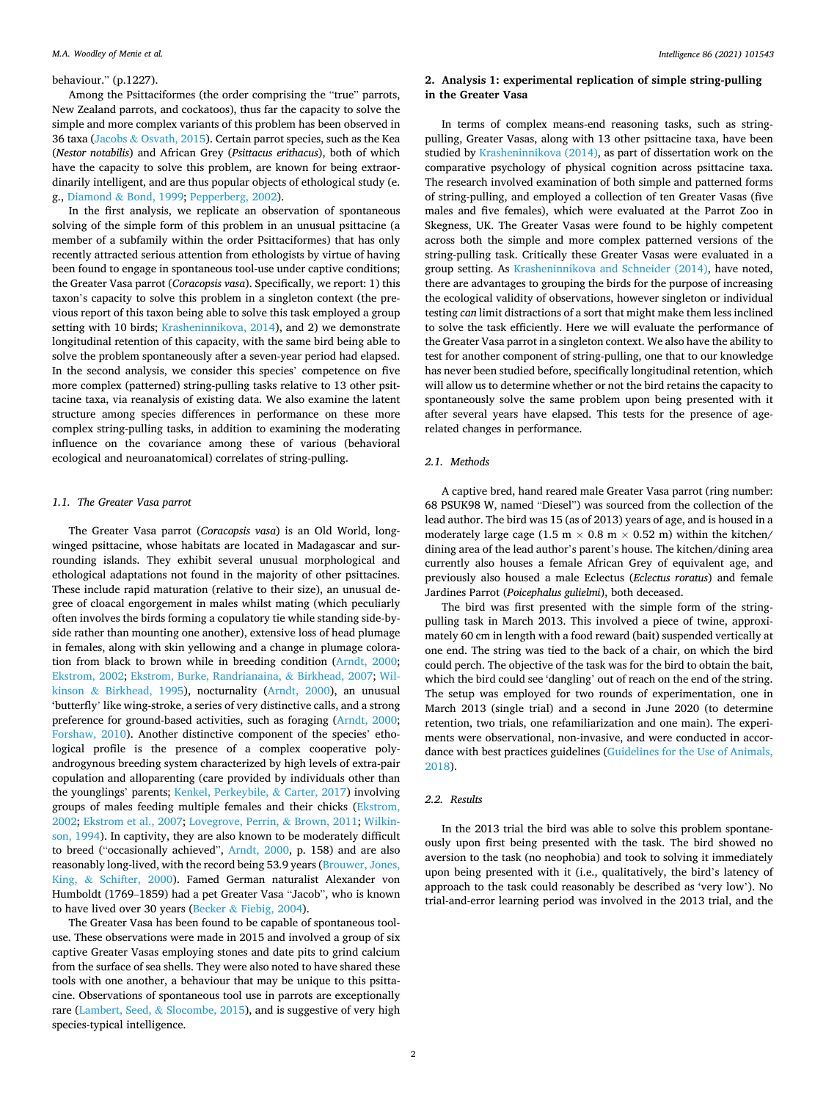#### behaviour." (p.1227).

Among the Psittaciformes (the order comprising the "true" parrots, New Zealand parrots, and cockatoos), thus far the capacity to solve the simple and more complex variants of this problem has been observed in 36 taxa (Jacobs & [Osvath, 2015](#page-7-0)). Certain parrot species, such as the Kea (*Nestor notabilis*) and African Grey (*Psittacus erithacus*), both of which have the capacity to solve this problem, are known for being extraordinarily intelligent, and are thus popular objects of ethological study (e. g., Diamond & [Bond, 1999](#page-7-0); [Pepperberg, 2002\)](#page-7-0).

In the first analysis, we replicate an observation of spontaneous solving of the simple form of this problem in an unusual psittacine (a member of a subfamily within the order Psittaciformes) that has only recently attracted serious attention from ethologists by virtue of having been found to engage in spontaneous tool-use under captive conditions; the Greater Vasa parrot (*Coracopsis vasa*). Specifically, we report: 1) this taxon's capacity to solve this problem in a singleton context (the previous report of this taxon being able to solve this task employed a group setting with 10 birds; [Krasheninnikova, 2014\)](#page-7-0), and 2) we demonstrate longitudinal retention of this capacity, with the same bird being able to solve the problem spontaneously after a seven-year period had elapsed. In the second analysis, we consider this species' competence on five more complex (patterned) string-pulling tasks relative to 13 other psittacine taxa, via reanalysis of existing data. We also examine the latent structure among species differences in performance on these more complex string-pulling tasks, in addition to examining the moderating influence on the covariance among these of various (behavioral ecological and neuroanatomical) correlates of string-pulling.

## *1.1. The Greater Vasa parrot*

The Greater Vasa parrot (*Coracopsis vasa*) is an Old World, longwinged psittacine, whose habitats are located in Madagascar and surrounding islands. They exhibit several unusual morphological and ethological adaptations not found in the majority of other psittacines. These include rapid maturation (relative to their size), an unusual degree of cloacal engorgement in males whilst mating (which peculiarly often involves the birds forming a copulatory tie while standing side-byside rather than mounting one another), extensive loss of head plumage in females, along with skin yellowing and a change in plumage coloration from black to brown while in breeding condition ([Arndt, 2000](#page-7-0); [Ekstrom, 2002](#page-7-0); [Ekstrom, Burke, Randrianaina,](#page-7-0) & Birkhead, 2007; [Wil](#page-8-0)kinson & [Birkhead, 1995\)](#page-8-0), nocturnality [\(Arndt, 2000](#page-7-0)), an unusual 'butterfly' like wing-stroke, a series of very distinctive calls, and a strong preference for ground-based activities, such as foraging [\(Arndt, 2000](#page-7-0); [Forshaw, 2010](#page-7-0)). Another distinctive component of the species' ethological profile is the presence of a complex cooperative polyandrogynous breeding system characterized by high levels of extra-pair copulation and alloparenting (care provided by individuals other than the younglings' parents; [Kenkel, Perkeybile,](#page-7-0) & Carter, 2017) involving groups of males feeding multiple females and their chicks [\(Ekstrom,](#page-7-0)  [2002; Ekstrom et al., 2007; Lovegrove, Perrin,](#page-7-0) & Brown, 2011; [Wilkin](#page-8-0)[son, 1994](#page-8-0)). In captivity, they are also known to be moderately difficult to breed ("occasionally achieved", [Arndt, 2000](#page-7-0), p. 158) and are also reasonably long-lived, with the record being 53.9 years ([Brouwer, Jones,](#page-7-0)  King, & [Schifter, 2000\)](#page-7-0). Famed German naturalist Alexander von Humboldt (1769–1859) had a pet Greater Vasa "Jacob", who is known to have lived over 30 years (Becker & [Fiebig, 2004](#page-7-0)).

The Greater Vasa has been found to be capable of spontaneous tooluse. These observations were made in 2015 and involved a group of six captive Greater Vasas employing stones and date pits to grind calcium from the surface of sea shells. They were also noted to have shared these tools with one another, a behaviour that may be unique to this psittacine. Observations of spontaneous tool use in parrots are exceptionally rare (Lambert, Seed, & [Slocombe, 2015\)](#page-7-0), and is suggestive of very high species-typical intelligence.

## **2. Analysis 1: experimental replication of simple string-pulling in the Greater Vasa**

In terms of complex means-end reasoning tasks, such as stringpulling, Greater Vasas, along with 13 other psittacine taxa, have been studied by [Krasheninnikova \(2014\)](#page-7-0), as part of dissertation work on the comparative psychology of physical cognition across psittacine taxa. The research involved examination of both simple and patterned forms of string-pulling, and employed a collection of ten Greater Vasas (five males and five females), which were evaluated at the Parrot Zoo in Skegness, UK. The Greater Vasas were found to be highly competent across both the simple and more complex patterned versions of the string-pulling task. Critically these Greater Vasas were evaluated in a group setting. As [Krasheninnikova and Schneider \(2014\),](#page-7-0) have noted, there are advantages to grouping the birds for the purpose of increasing the ecological validity of observations, however singleton or individual testing *can* limit distractions of a sort that might make them less inclined to solve the task efficiently. Here we will evaluate the performance of the Greater Vasa parrot in a singleton context. We also have the ability to test for another component of string-pulling, one that to our knowledge has never been studied before, specifically longitudinal retention, which will allow us to determine whether or not the bird retains the capacity to spontaneously solve the same problem upon being presented with it after several years have elapsed. This tests for the presence of agerelated changes in performance.

## *2.1. Methods*

A captive bred, hand reared male Greater Vasa parrot (ring number: 68 PSUK98 W, named "Diesel") was sourced from the collection of the lead author. The bird was 15 (as of 2013) years of age, and is housed in a moderately large cage (1.5 m  $\times$  0.8 m  $\times$  0.52 m) within the kitchen/ dining area of the lead author's parent's house. The kitchen/dining area currently also houses a female African Grey of equivalent age, and previously also housed a male Eclectus (*Eclectus roratus*) and female Jardines Parrot (*Poicephalus gulielmi*), both deceased.

The bird was first presented with the simple form of the stringpulling task in March 2013. This involved a piece of twine, approximately 60 cm in length with a food reward (bait) suspended vertically at one end. The string was tied to the back of a chair, on which the bird could perch. The objective of the task was for the bird to obtain the bait, which the bird could see 'dangling' out of reach on the end of the string. The setup was employed for two rounds of experimentation, one in March 2013 (single trial) and a second in June 2020 (to determine retention, two trials, one refamiliarization and one main). The experiments were observational, non-invasive, and were conducted in accordance with best practices guidelines [\(Guidelines for the Use of Animals,](#page-7-0)  [2018\)](#page-7-0).

## *2.2. Results*

In the 2013 trial the bird was able to solve this problem spontaneously upon first being presented with the task. The bird showed no aversion to the task (no neophobia) and took to solving it immediately upon being presented with it (i.e., qualitatively, the bird's latency of approach to the task could reasonably be described as 'very low'). No trial-and-error learning period was involved in the 2013 trial, and the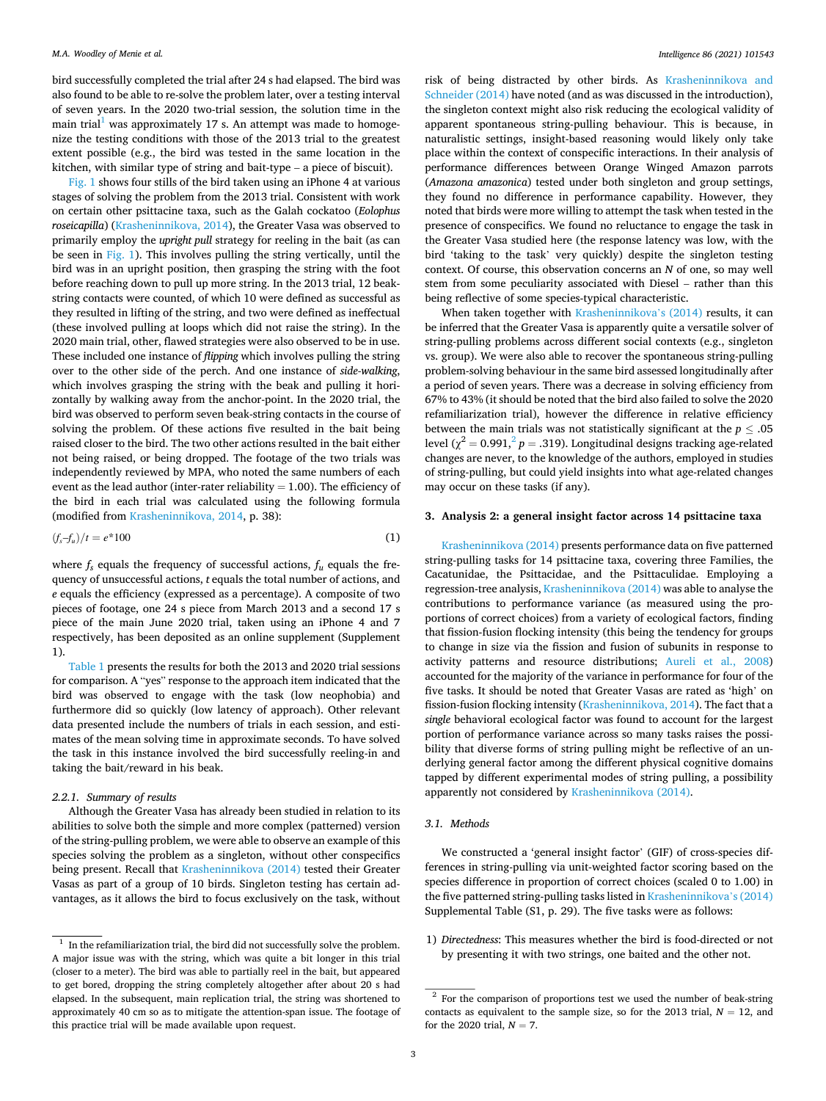bird successfully completed the trial after 24 s had elapsed. The bird was also found to be able to re-solve the problem later, over a testing interval of seven years. In the 2020 two-trial session, the solution time in the main trial<sup>1</sup> was approximately 17 s. An attempt was made to homogenize the testing conditions with those of the 2013 trial to the greatest extent possible (e.g., the bird was tested in the same location in the kitchen, with similar type of string and bait-type – a piece of biscuit).

[Fig. 1](#page-3-0) shows four stills of the bird taken using an iPhone 4 at various stages of solving the problem from the 2013 trial. Consistent with work on certain other psittacine taxa, such as the Galah cockatoo (*Eolophus roseicapilla*) [\(Krasheninnikova, 2014\)](#page-7-0), the Greater Vasa was observed to primarily employ the *upright pull* strategy for reeling in the bait (as can be seen in [Fig. 1](#page-3-0)). This involves pulling the string vertically, until the bird was in an upright position, then grasping the string with the foot before reaching down to pull up more string. In the 2013 trial, 12 beakstring contacts were counted, of which 10 were defined as successful as they resulted in lifting of the string, and two were defined as ineffectual (these involved pulling at loops which did not raise the string). In the 2020 main trial, other, flawed strategies were also observed to be in use. These included one instance of *flipping* which involves pulling the string over to the other side of the perch. And one instance of *side-walking*, which involves grasping the string with the beak and pulling it horizontally by walking away from the anchor-point. In the 2020 trial, the bird was observed to perform seven beak-string contacts in the course of solving the problem. Of these actions five resulted in the bait being raised closer to the bird. The two other actions resulted in the bait either not being raised, or being dropped. The footage of the two trials was independently reviewed by MPA, who noted the same numbers of each event as the lead author (inter-rater reliability  $= 1.00$ ). The efficiency of the bird in each trial was calculated using the following formula (modified from [Krasheninnikova, 2014](#page-7-0), p. 38):

$$
\left(\mathbf{f}_s - \mathbf{f}_u\right) / t = e^* 100\tag{1}
$$

where  $f_s$  equals the frequency of successful actions,  $f_u$  equals the frequency of unsuccessful actions, *t* equals the total number of actions, and *e* equals the efficiency (expressed as a percentage). A composite of two pieces of footage, one 24 s piece from March 2013 and a second 17 s piece of the main June 2020 trial, taken using an iPhone 4 and 7 respectively, has been deposited as an online supplement (Supplement 1).

[Table 1](#page-3-0) presents the results for both the 2013 and 2020 trial sessions for comparison. A "yes" response to the approach item indicated that the bird was observed to engage with the task (low neophobia) and furthermore did so quickly (low latency of approach). Other relevant data presented include the numbers of trials in each session, and estimates of the mean solving time in approximate seconds. To have solved the task in this instance involved the bird successfully reeling-in and taking the bait/reward in his beak.

#### *2.2.1. Summary of results*

Although the Greater Vasa has already been studied in relation to its abilities to solve both the simple and more complex (patterned) version of the string-pulling problem, we were able to observe an example of this species solving the problem as a singleton, without other conspecifics being present. Recall that [Krasheninnikova \(2014\)](#page-7-0) tested their Greater Vasas as part of a group of 10 birds. Singleton testing has certain advantages, as it allows the bird to focus exclusively on the task, without

risk of being distracted by other birds. As [Krasheninnikova and](#page-7-0)  [Schneider \(2014\)](#page-7-0) have noted (and as was discussed in the introduction), the singleton context might also risk reducing the ecological validity of apparent spontaneous string-pulling behaviour. This is because, in naturalistic settings, insight-based reasoning would likely only take place within the context of conspecific interactions. In their analysis of performance differences between Orange Winged Amazon parrots (*Amazona amazonica*) tested under both singleton and group settings, they found no difference in performance capability. However, they noted that birds were more willing to attempt the task when tested in the presence of conspecifics. We found no reluctance to engage the task in the Greater Vasa studied here (the response latency was low, with the bird 'taking to the task' very quickly) despite the singleton testing context. Of course, this observation concerns an *N* of one, so may well stem from some peculiarity associated with Diesel – rather than this being reflective of some species-typical characteristic.

When taken together with [Krasheninnikova](#page-7-0)'s (2014) results, it can be inferred that the Greater Vasa is apparently quite a versatile solver of string-pulling problems across different social contexts (e.g., singleton vs. group). We were also able to recover the spontaneous string-pulling problem-solving behaviour in the same bird assessed longitudinally after a period of seven years. There was a decrease in solving efficiency from 67% to 43% (it should be noted that the bird also failed to solve the 2020 refamiliarization trial), however the difference in relative efficiency between the main trials was not statistically significant at the  $p \leq .05$ level ( $\chi^2$  = 0.991,<sup>2</sup> *p* = .319). Longitudinal designs tracking age-related changes are never, to the knowledge of the authors, employed in studies of string-pulling, but could yield insights into what age-related changes may occur on these tasks (if any).

### **3. Analysis 2: a general insight factor across 14 psittacine taxa**

[Krasheninnikova \(2014\)](#page-7-0) presents performance data on five patterned string-pulling tasks for 14 psittacine taxa, covering three Families, the Cacatunidae, the Psittacidae, and the Psittaculidae. Employing a regression-tree analysis, [Krasheninnikova \(2014\)](#page-7-0) was able to analyse the contributions to performance variance (as measured using the proportions of correct choices) from a variety of ecological factors, finding that fission-fusion flocking intensity (this being the tendency for groups to change in size via the fission and fusion of subunits in response to activity patterns and resource distributions; [Aureli et al., 2008\)](#page-7-0) accounted for the majority of the variance in performance for four of the five tasks. It should be noted that Greater Vasas are rated as 'high' on fission-fusion flocking intensity [\(Krasheninnikova, 2014](#page-7-0)). The fact that a *single* behavioral ecological factor was found to account for the largest portion of performance variance across so many tasks raises the possibility that diverse forms of string pulling might be reflective of an underlying general factor among the different physical cognitive domains tapped by different experimental modes of string pulling, a possibility apparently not considered by [Krasheninnikova \(2014\).](#page-7-0)

#### *3.1. Methods*

We constructed a 'general insight factor' (GIF) of cross-species differences in string-pulling via unit-weighted factor scoring based on the species difference in proportion of correct choices (scaled 0 to 1.00) in the five patterned string-pulling tasks listed in [Krasheninnikova](#page-7-0)'s (2014) Supplemental Table (S1, p. 29). The five tasks were as follows:

1) *Directedness*: This measures whether the bird is food-directed or not by presenting it with two strings, one baited and the other not.

In the refamiliarization trial, the bird did not successfully solve the problem. A major issue was with the string, which was quite a bit longer in this trial (closer to a meter). The bird was able to partially reel in the bait, but appeared to get bored, dropping the string completely altogether after about 20 s had elapsed. In the subsequent, main replication trial, the string was shortened to approximately 40 cm so as to mitigate the attention-span issue. The footage of this practice trial will be made available upon request.

 $2$  For the comparison of proportions test we used the number of beak-string contacts as equivalent to the sample size, so for the 2013 trial,  $N = 12$ , and for the 2020 trial,  $N = 7$ .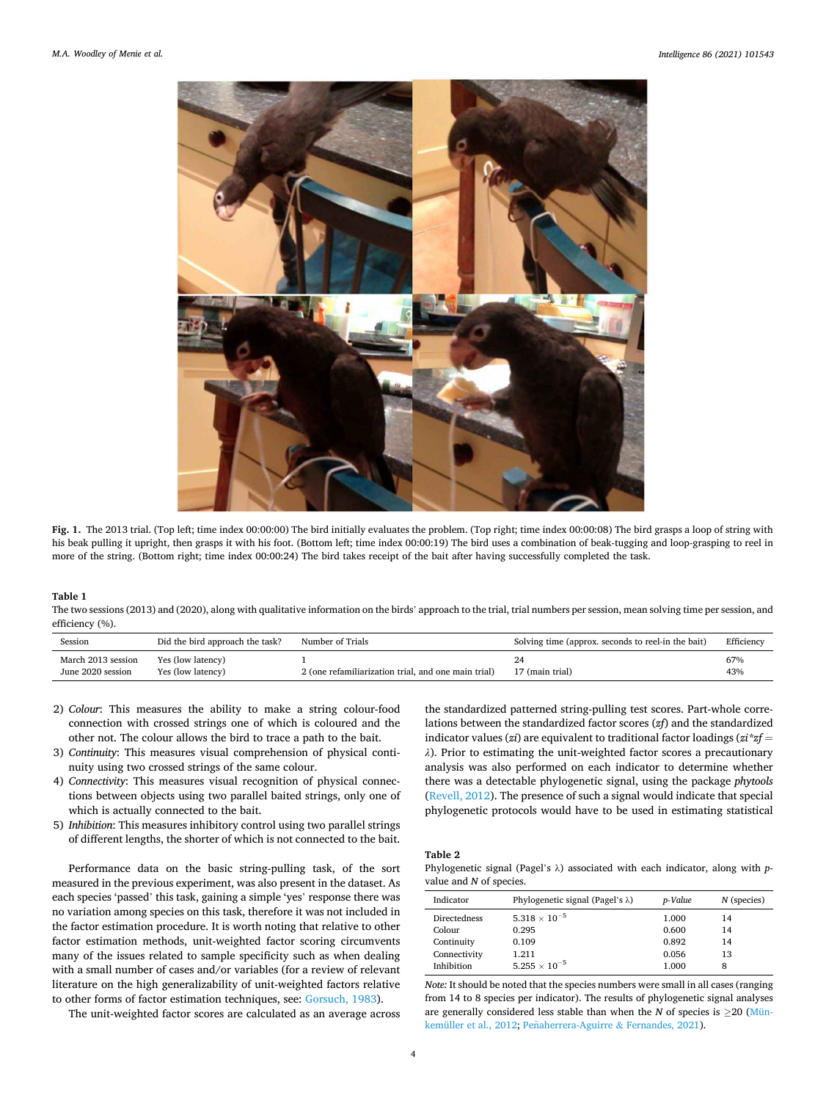<span id="page-3-0"></span>

**Fig. 1.** The 2013 trial. (Top left; time index 00:00:00) The bird initially evaluates the problem. (Top right; time index 00:00:08) The bird grasps a loop of string with his beak pulling it upright, then grasps it with his foot. (Bottom left; time index 00:00:19) The bird uses a combination of beak-tugging and loop-grasping to reel in more of the string. (Bottom right; time index 00:00:24) The bird takes receipt of the bait after having successfully completed the task.

#### **Table 1**

The two sessions (2013) and (2020), along with qualitative information on the birds' approach to the trial, trial numbers per session, mean solving time per session, and efficiency (%).

| Session                                 | Did the bird approach the task?        | Number of Trials                                    | Solving time (approx. seconds to reel-in the bait) | Efficiency |
|-----------------------------------------|----------------------------------------|-----------------------------------------------------|----------------------------------------------------|------------|
| March 2013 session<br>June 2020 session | Yes (low latency)<br>Yes (low latency) | 2 (one refamiliarization trial, and one main trial) | 17 (main trial)                                    | 67%<br>43% |

- 2) *Colour*: This measures the ability to make a string colour-food connection with crossed strings one of which is coloured and the other not. The colour allows the bird to trace a path to the bait.
- 3) *Continuity*: This measures visual comprehension of physical continuity using two crossed strings of the same colour.
- 4) *Connectivity*: This measures visual recognition of physical connections between objects using two parallel baited strings, only one of which is actually connected to the bait.
- 5) *Inhibition*: This measures inhibitory control using two parallel strings of different lengths, the shorter of which is not connected to the bait.

Performance data on the basic string-pulling task, of the sort measured in the previous experiment, was also present in the dataset. As each species 'passed' this task, gaining a simple 'yes' response there was no variation among species on this task, therefore it was not included in the factor estimation procedure. It is worth noting that relative to other factor estimation methods, unit-weighted factor scoring circumvents many of the issues related to sample specificity such as when dealing with a small number of cases and/or variables (for a review of relevant literature on the high generalizability of unit-weighted factors relative to other forms of factor estimation techniques, see: [Gorsuch, 1983\)](#page-7-0).

The unit-weighted factor scores are calculated as an average across

the standardized patterned string-pulling test scores. Part-whole correlations between the standardized factor scores (*zf*) and the standardized indicator values (*zi*) are equivalent to traditional factor loadings (*zi\*zf* = *λ*). Prior to estimating the unit-weighted factor scores a precautionary analysis was also performed on each indicator to determine whether there was a detectable phylogenetic signal, using the package *phytools*  ([Revell, 2012\)](#page-7-0). The presence of such a signal would indicate that special phylogenetic protocols would have to be used in estimating statistical

#### **Table 2**

Phylogenetic signal (Pagel's λ) associated with each indicator, along with *p*value and *N* of species.

| Indicator    | Phylogenetic signal (Pagel's $\lambda$ ) | p-Value | $N$ (species) |
|--------------|------------------------------------------|---------|---------------|
| Directedness | $5.318 \times 10^{-5}$                   | 1.000   | 14            |
| Colour       | 0.295                                    | 0.600   | 14            |
| Continuity   | 0.109                                    | 0.892   | 14            |
| Connectivity | 1.211                                    | 0.056   | 13            |
| Inhibition   | $5.255 \times 10^{-5}$                   | 1.000   | 8             |

*Note:* It should be noted that the species numbers were small in all cases (ranging from 14 to 8 species per indicator). The results of phylogenetic signal analyses are generally considered less stable than when the  $N$  of species is  $\geq$ 20 ([Mün](#page-7-0)[kemüller et al., 2012](#page-7-0); Peñaherrera-Aguirre & Fernandes, 2021).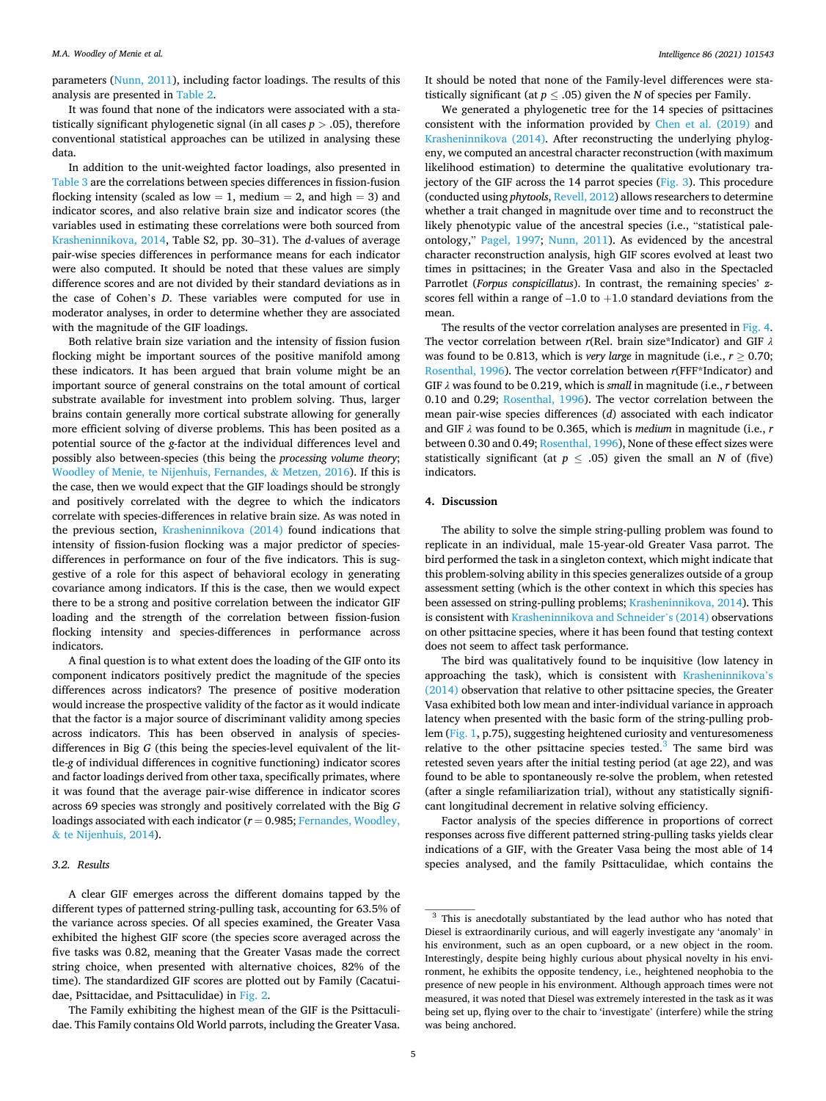parameters [\(Nunn, 2011](#page-7-0)), including factor loadings. The results of this analysis are presented in [Table 2.](#page-3-0)

It was found that none of the indicators were associated with a statistically significant phylogenetic signal (in all cases  $p > .05$ ), therefore conventional statistical approaches can be utilized in analysing these data.

In addition to the unit-weighted factor loadings, also presented in [Table 3](#page-5-0) are the correlations between species differences in fission-fusion flocking intensity (scaled as low  $= 1$ , medium  $= 2$ , and high  $= 3$ ) and indicator scores, and also relative brain size and indicator scores (the variables used in estimating these correlations were both sourced from [Krasheninnikova, 2014,](#page-7-0) Table S2, pp. 30–31). The *d*-values of average pair-wise species differences in performance means for each indicator were also computed. It should be noted that these values are simply difference scores and are not divided by their standard deviations as in the case of Cohen's *D*. These variables were computed for use in moderator analyses, in order to determine whether they are associated with the magnitude of the GIF loadings.

Both relative brain size variation and the intensity of fission fusion flocking might be important sources of the positive manifold among these indicators. It has been argued that brain volume might be an important source of general constrains on the total amount of cortical substrate available for investment into problem solving. Thus, larger brains contain generally more cortical substrate allowing for generally more efficient solving of diverse problems. This has been posited as a potential source of the *g*-factor at the individual differences level and possibly also between-species (this being the *processing volume theory*; [Woodley of Menie, te Nijenhuis, Fernandes,](#page-8-0) & Metzen, 2016). If this is the case, then we would expect that the GIF loadings should be strongly and positively correlated with the degree to which the indicators correlate with species-differences in relative brain size. As was noted in the previous section, [Krasheninnikova \(2014\)](#page-7-0) found indications that intensity of fission-fusion flocking was a major predictor of speciesdifferences in performance on four of the five indicators. This is suggestive of a role for this aspect of behavioral ecology in generating covariance among indicators. If this is the case, then we would expect there to be a strong and positive correlation between the indicator GIF loading and the strength of the correlation between fission-fusion flocking intensity and species-differences in performance across indicators.

A final question is to what extent does the loading of the GIF onto its component indicators positively predict the magnitude of the species differences across indicators? The presence of positive moderation would increase the prospective validity of the factor as it would indicate that the factor is a major source of discriminant validity among species across indicators. This has been observed in analysis of speciesdifferences in Big *G* (this being the species-level equivalent of the little-*g* of individual differences in cognitive functioning) indicator scores and factor loadings derived from other taxa, specifically primates, where it was found that the average pair-wise difference in indicator scores across 69 species was strongly and positively correlated with the Big *G*  loadings associated with each indicator (*r* = 0.985; [Fernandes, Woodley,](#page-7-0)  & [te Nijenhuis, 2014](#page-7-0)).

## *3.2. Results*

A clear GIF emerges across the different domains tapped by the different types of patterned string-pulling task, accounting for 63.5% of the variance across species. Of all species examined, the Greater Vasa exhibited the highest GIF score (the species score averaged across the five tasks was 0.82, meaning that the Greater Vasas made the correct string choice, when presented with alternative choices, 82% of the time). The standardized GIF scores are plotted out by Family (Cacatuidae, Psittacidae, and Psittaculidae) in [Fig. 2.](#page-5-0)

The Family exhibiting the highest mean of the GIF is the Psittaculidae. This Family contains Old World parrots, including the Greater Vasa. It should be noted that none of the Family-level differences were statistically significant (at  $p \leq .05$ ) given the *N* of species per Family.

We generated a phylogenetic tree for the 14 species of psittacines consistent with the information provided by [Chen et al. \(2019\)](#page-7-0) and [Krasheninnikova \(2014\)](#page-7-0). After reconstructing the underlying phylogeny, we computed an ancestral character reconstruction (with maximum likelihood estimation) to determine the qualitative evolutionary trajectory of the GIF across the 14 parrot species [\(Fig. 3\)](#page-5-0). This procedure (conducted using *phytools*, [Revell, 2012](#page-7-0)) allows researchers to determine whether a trait changed in magnitude over time and to reconstruct the likely phenotypic value of the ancestral species (i.e., "statistical paleontology," [Pagel, 1997;](#page-7-0) [Nunn, 2011\)](#page-7-0). As evidenced by the ancestral character reconstruction analysis, high GIF scores evolved at least two times in psittacines; in the Greater Vasa and also in the Spectacled Parrotlet (*Forpus conspicillatus*). In contrast, the remaining species' *z*scores fell within a range of  $-1.0$  to  $+1.0$  standard deviations from the mean.

The results of the vector correlation analyses are presented in [Fig. 4](#page-6-0). The vector correlation between *r*(Rel. brain size\*Indicator) and GIF *λ*  was found to be 0.813, which is *very large* in magnitude (i.e.,  $r > 0.70$ ; [Rosenthal, 1996\)](#page-7-0). The vector correlation between *r*(FFF\*Indicator) and GIF *λ* was found to be 0.219, which is *small* in magnitude (i.e., *r* between 0.10 and 0.29; [Rosenthal, 1996](#page-7-0)). The vector correlation between the mean pair-wise species differences (*d*) associated with each indicator and GIF *λ* was found to be 0.365, which is *medium* in magnitude (i.e., *r*  between 0.30 and 0.49; [Rosenthal, 1996](#page-7-0)), None of these effect sizes were statistically significant (at  $p \leq .05$ ) given the small an *N* of (five) indicators.

#### **4. Discussion**

The ability to solve the simple string-pulling problem was found to replicate in an individual, male 15-year-old Greater Vasa parrot. The bird performed the task in a singleton context, which might indicate that this problem-solving ability in this species generalizes outside of a group assessment setting (which is the other context in which this species has been assessed on string-pulling problems; [Krasheninnikova, 2014](#page-7-0)). This is consistent with [Krasheninnikova and Schneider](#page-7-0)'s (2014) observations on other psittacine species, where it has been found that testing context does not seem to affect task performance.

The bird was qualitatively found to be inquisitive (low latency in approaching the task), which is consistent with [Krasheninnikova](#page-7-0)'s [\(2014\)](#page-7-0) observation that relative to other psittacine species, the Greater Vasa exhibited both low mean and inter-individual variance in approach latency when presented with the basic form of the string-pulling problem [\(Fig. 1,](#page-3-0) p.75), suggesting heightened curiosity and venturesomeness relative to the other psittacine species tested. $3$  The same bird was retested seven years after the initial testing period (at age 22), and was found to be able to spontaneously re-solve the problem, when retested (after a single refamiliarization trial), without any statistically significant longitudinal decrement in relative solving efficiency.

Factor analysis of the species difference in proportions of correct responses across five different patterned string-pulling tasks yields clear indications of a GIF, with the Greater Vasa being the most able of 14 species analysed, and the family Psittaculidae, which contains the

<sup>&</sup>lt;sup>3</sup> This is anecdotally substantiated by the lead author who has noted that Diesel is extraordinarily curious, and will eagerly investigate any 'anomaly' in his environment, such as an open cupboard, or a new object in the room. Interestingly, despite being highly curious about physical novelty in his environment, he exhibits the opposite tendency, i.e., heightened neophobia to the presence of new people in his environment. Although approach times were not measured, it was noted that Diesel was extremely interested in the task as it was being set up, flying over to the chair to 'investigate' (interfere) while the string was being anchored.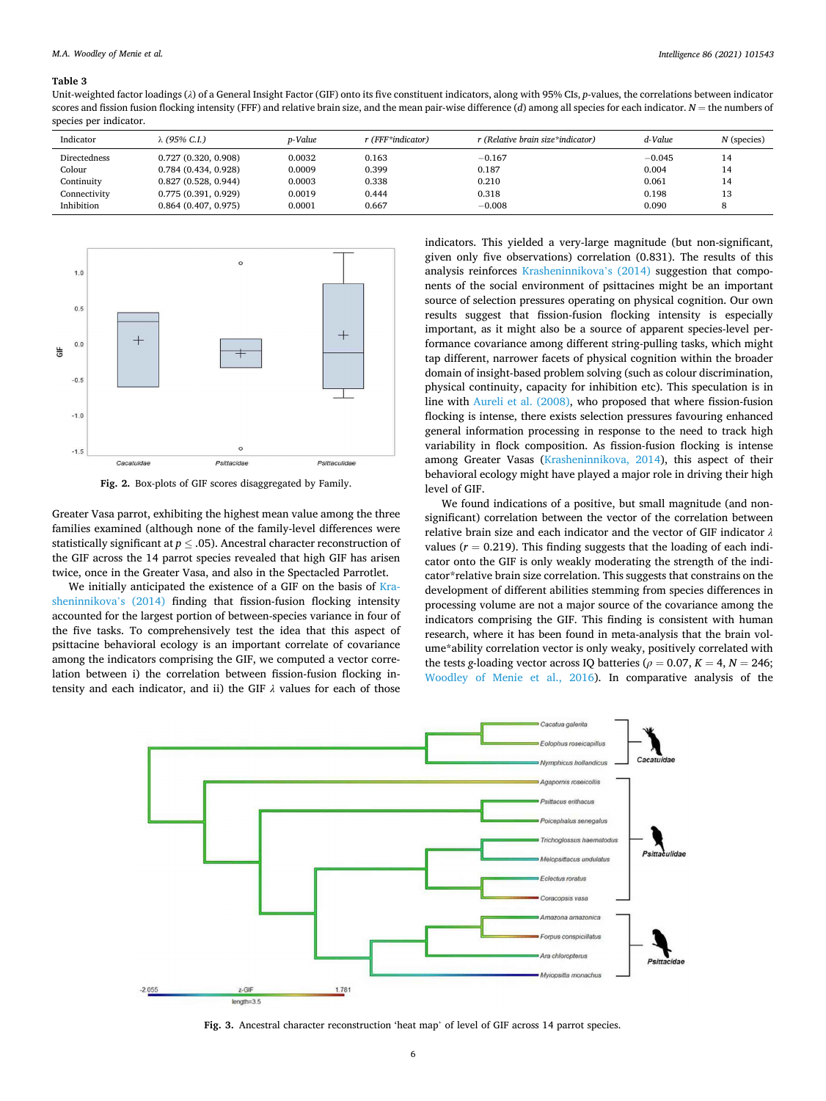#### <span id="page-5-0"></span>**Table 3**

Unit-weighted factor loadings (*λ*) of a General Insight Factor (GIF) onto its five constituent indicators, along with 95% CIs, *p*-values, the correlations between indicator scores and fission fusion flocking intensity (FFF) and relative brain size, and the mean pair-wise difference  $(d)$  among all species for each indicator.  $N =$  the numbers of species per indicator.

| Indicator    | λ (95% C.I.)        | p-Value | r (FFF*indicator) | r (Relative brain size*indicator) | d-Value  | $N$ (species) |
|--------------|---------------------|---------|-------------------|-----------------------------------|----------|---------------|
| Directedness | 0.727(0.320, 0.908) | 0.0032  | 0.163             | $-0.167$                          | $-0.045$ | 14            |
| Colour       | 0.784(0.434, 0.928) | 0.0009  | 0.399             | 0.187                             | 0.004    | 14            |
| Continuity   | 0.827(0.528, 0.944) | 0.0003  | 0.338             | 0.210                             | 0.061    | 14            |
| Connectivity | 0.775(0.391, 0.929) | 0.0019  | 0.444             | 0.318                             | 0.198    | 13            |
| Inhibition   | 0.864(0.407, 0.975) | 0.0001  | 0.667             | $-0.008$                          | 0.090    | 8             |



**Fig. 2.** Box-plots of GIF scores disaggregated by Family.

Greater Vasa parrot, exhibiting the highest mean value among the three families examined (although none of the family-level differences were statistically significant at *p* ≤ .05). Ancestral character reconstruction of the GIF across the 14 parrot species revealed that high GIF has arisen twice, once in the Greater Vasa, and also in the Spectacled Parrotlet.

We initially anticipated the existence of a GIF on the basis of [Kra](#page-7-0)[sheninnikova](#page-7-0)'s (2014) finding that fission-fusion flocking intensity accounted for the largest portion of between-species variance in four of the five tasks. To comprehensively test the idea that this aspect of psittacine behavioral ecology is an important correlate of covariance among the indicators comprising the GIF, we computed a vector correlation between i) the correlation between fission-fusion flocking intensity and each indicator, and ii) the GIF *λ* values for each of those indicators. This yielded a very-large magnitude (but non-significant, given only five observations) correlation (0.831). The results of this analysis reinforces [Krasheninnikova](#page-7-0)'s (2014) suggestion that components of the social environment of psittacines might be an important source of selection pressures operating on physical cognition. Our own results suggest that fission-fusion flocking intensity is especially important, as it might also be a source of apparent species-level performance covariance among different string-pulling tasks, which might tap different, narrower facets of physical cognition within the broader domain of insight-based problem solving (such as colour discrimination, physical continuity, capacity for inhibition etc). This speculation is in line with [Aureli et al. \(2008\)](#page-7-0), who proposed that where fission-fusion flocking is intense, there exists selection pressures favouring enhanced general information processing in response to the need to track high variability in flock composition. As fission-fusion flocking is intense among Greater Vasas ([Krasheninnikova, 2014](#page-7-0)), this aspect of their behavioral ecology might have played a major role in driving their high level of GIF.

We found indications of a positive, but small magnitude (and nonsignificant) correlation between the vector of the correlation between relative brain size and each indicator and the vector of GIF indicator *λ*  values ( $r = 0.219$ ). This finding suggests that the loading of each indicator onto the GIF is only weakly moderating the strength of the indicator\*relative brain size correlation. This suggests that constrains on the development of different abilities stemming from species differences in processing volume are not a major source of the covariance among the indicators comprising the GIF. This finding is consistent with human research, where it has been found in meta-analysis that the brain volume\*ability correlation vector is only weaky, positively correlated with the tests *g*-loading vector across IQ batteries ( $\rho = 0.07$ ,  $K = 4$ ,  $N = 246$ ; [Woodley of Menie et al., 2016\)](#page-8-0). In comparative analysis of the



**Fig. 3.** Ancestral character reconstruction 'heat map' of level of GIF across 14 parrot species.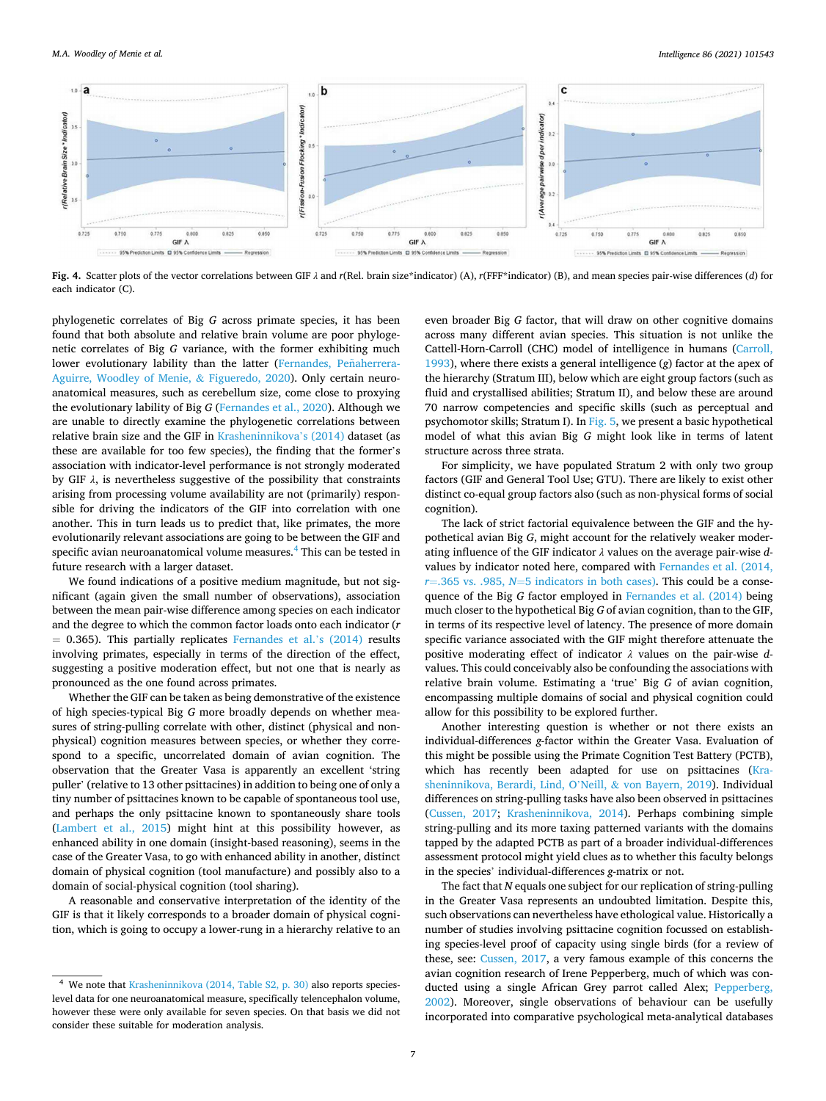<span id="page-6-0"></span>

**Fig. 4.** Scatter plots of the vector correlations between GIF *λ* and *r*(Rel. brain size\*indicator) (A), *r*(FFF\*indicator) (B), and mean species pair-wise differences (*d*) for each indicator (C).

phylogenetic correlates of Big *G* across primate species, it has been found that both absolute and relative brain volume are poor phylogenetic correlates of Big *G* variance, with the former exhibiting much lower evolutionary lability than the latter (Fernandes, Peñaherrera-[Aguirre, Woodley of Menie,](#page-7-0) & Figueredo, 2020). Only certain neuroanatomical measures, such as cerebellum size, come close to proxying the evolutionary lability of Big *G* [\(Fernandes et al., 2020](#page-7-0)). Although we are unable to directly examine the phylogenetic correlations between relative brain size and the GIF in [Krasheninnikova](#page-7-0)'s (2014) dataset (as these are available for too few species), the finding that the former's association with indicator-level performance is not strongly moderated by GIF  $\lambda$ , is nevertheless suggestive of the possibility that constraints arising from processing volume availability are not (primarily) responsible for driving the indicators of the GIF into correlation with one another. This in turn leads us to predict that, like primates, the more evolutionarily relevant associations are going to be between the GIF and specific avian neuroanatomical volume measures.<sup>4</sup> This can be tested in future research with a larger dataset.

We found indications of a positive medium magnitude, but not significant (again given the small number of observations), association between the mean pair-wise difference among species on each indicator and the degree to which the common factor loads onto each indicator (*r*   $= 0.365$ ). This partially replicates [Fernandes et al.](#page-7-0)'s (2014) results involving primates, especially in terms of the direction of the effect, suggesting a positive moderation effect, but not one that is nearly as pronounced as the one found across primates.

Whether the GIF can be taken as being demonstrative of the existence of high species-typical Big *G* more broadly depends on whether measures of string-pulling correlate with other, distinct (physical and nonphysical) cognition measures between species, or whether they correspond to a specific, uncorrelated domain of avian cognition. The observation that the Greater Vasa is apparently an excellent 'string puller' (relative to 13 other psittacines) in addition to being one of only a tiny number of psittacines known to be capable of spontaneous tool use, and perhaps the only psittacine known to spontaneously share tools ([Lambert et al., 2015](#page-7-0)) might hint at this possibility however, as enhanced ability in one domain (insight-based reasoning), seems in the case of the Greater Vasa, to go with enhanced ability in another, distinct domain of physical cognition (tool manufacture) and possibly also to a domain of social-physical cognition (tool sharing).

A reasonable and conservative interpretation of the identity of the GIF is that it likely corresponds to a broader domain of physical cognition, which is going to occupy a lower-rung in a hierarchy relative to an even broader Big *G* factor, that will draw on other cognitive domains across many different avian species. This situation is not unlike the Cattell-Horn-Carroll (CHC) model of intelligence in humans [\(Carroll,](#page-7-0)  [1993\)](#page-7-0), where there exists a general intelligence (*g*) factor at the apex of the hierarchy (Stratum III), below which are eight group factors (such as fluid and crystallised abilities; Stratum II), and below these are around 70 narrow competencies and specific skills (such as perceptual and psychomotor skills; Stratum I). In [Fig. 5](#page-7-0), we present a basic hypothetical model of what this avian Big *G* might look like in terms of latent structure across three strata.

For simplicity, we have populated Stratum 2 with only two group factors (GIF and General Tool Use; GTU). There are likely to exist other distinct co-equal group factors also (such as non-physical forms of social cognition).

The lack of strict factorial equivalence between the GIF and the hypothetical avian Big *G*, might account for the relatively weaker moderating influence of the GIF indicator *λ* values on the average pair-wise *d*values by indicator noted here, compared with [Fernandes et al. \(2014,](#page-7-0)  *r*=.365 vs. .985, *N*=[5 indicators in both cases\)](#page-7-0). This could be a consequence of the Big *G* factor employed in [Fernandes et al. \(2014\)](#page-7-0) being much closer to the hypothetical Big *G* of avian cognition, than to the GIF, in terms of its respective level of latency. The presence of more domain specific variance associated with the GIF might therefore attenuate the positive moderating effect of indicator *λ* values on the pair-wise *d*values. This could conceivably also be confounding the associations with relative brain volume. Estimating a 'true' Big *G* of avian cognition, encompassing multiple domains of social and physical cognition could allow for this possibility to be explored further.

Another interesting question is whether or not there exists an individual-differences *g*-factor within the Greater Vasa. Evaluation of this might be possible using the Primate Cognition Test Battery (PCTB), which has recently been adapted for use on psittacines ([Kra](#page-7-0)[sheninnikova, Berardi, Lind, O](#page-7-0)'Neill, & von Bayern, 2019). Individual differences on string-pulling tasks have also been observed in psittacines ([Cussen, 2017;](#page-7-0) [Krasheninnikova, 2014\)](#page-7-0). Perhaps combining simple string-pulling and its more taxing patterned variants with the domains tapped by the adapted PCTB as part of a broader individual-differences assessment protocol might yield clues as to whether this faculty belongs in the species' individual-differences *g*-matrix or not.

The fact that *N* equals one subject for our replication of string-pulling in the Greater Vasa represents an undoubted limitation. Despite this, such observations can nevertheless have ethological value. Historically a number of studies involving psittacine cognition focussed on establishing species-level proof of capacity using single birds (for a review of these, see: [Cussen, 2017](#page-7-0), a very famous example of this concerns the avian cognition research of Irene Pepperberg, much of which was conducted using a single African Grey parrot called Alex; [Pepperberg,](#page-7-0)  [2002\)](#page-7-0). Moreover, single observations of behaviour can be usefully incorporated into comparative psychological meta-analytical databases

<sup>&</sup>lt;sup>4</sup> We note that [Krasheninnikova \(2014, Table S2, p. 30\)](#page-7-0) also reports specieslevel data for one neuroanatomical measure, specifically telencephalon volume, however these were only available for seven species. On that basis we did not consider these suitable for moderation analysis.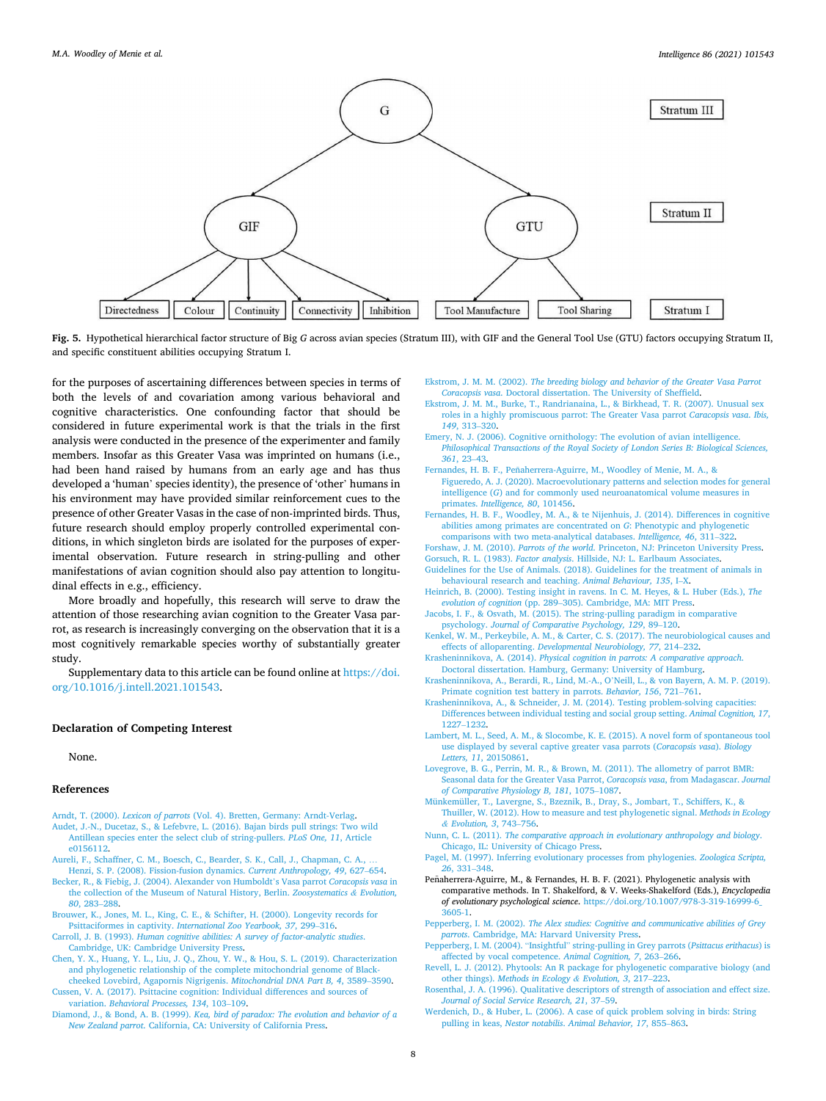<span id="page-7-0"></span>

**Fig. 5.** Hypothetical hierarchical factor structure of Big *G* across avian species (Stratum III), with GIF and the General Tool Use (GTU) factors occupying Stratum II, and specific constituent abilities occupying Stratum I.

for the purposes of ascertaining differences between species in terms of both the levels of and covariation among various behavioral and cognitive characteristics. One confounding factor that should be considered in future experimental work is that the trials in the first analysis were conducted in the presence of the experimenter and family members. Insofar as this Greater Vasa was imprinted on humans (i.e., had been hand raised by humans from an early age and has thus developed a 'human' species identity), the presence of 'other' humans in his environment may have provided similar reinforcement cues to the presence of other Greater Vasas in the case of non-imprinted birds. Thus, future research should employ properly controlled experimental conditions, in which singleton birds are isolated for the purposes of experimental observation. Future research in string-pulling and other manifestations of avian cognition should also pay attention to longitudinal effects in e.g., efficiency.

More broadly and hopefully, this research will serve to draw the attention of those researching avian cognition to the Greater Vasa parrot, as research is increasingly converging on the observation that it is a most cognitively remarkable species worthy of substantially greater study.

Supplementary data to this article can be found online at [https://doi.](https://doi.org/10.1016/j.intell.2021.101543)  [org/10.1016/j.intell.2021.101543](https://doi.org/10.1016/j.intell.2021.101543).

#### **Declaration of Competing Interest**

None.

## **References**

- Arndt, T. (2000). *Lexicon of parrots* [\(Vol. 4\). Bretten, Germany: Arndt-Verlag.](http://refhub.elsevier.com/S0160-2896(21)00027-1/rf0005) [Audet, J.-N., Ducetaz, S., & Lefebvre, L. \(2016\). Bajan birds pull strings: Two wild](http://refhub.elsevier.com/S0160-2896(21)00027-1/rf0010)  [Antillean species enter the select club of string-pullers.](http://refhub.elsevier.com/S0160-2896(21)00027-1/rf0010) *PLoS One, 11*, Article [e0156112.](http://refhub.elsevier.com/S0160-2896(21)00027-1/rf0010)
- Aureli, F., Schaffner, C. M., Boesch, C., Bearder, S. K., Call, J., Chapman, C. A. [Henzi, S. P. \(2008\). Fission-fusion dynamics.](http://refhub.elsevier.com/S0160-2896(21)00027-1/rf0015) *Current Anthropology, 49*, 627–654.
- [Becker, R., & Fiebig, J. \(2004\). Alexander von Humboldt](http://refhub.elsevier.com/S0160-2896(21)00027-1/rf0020)'s Vasa parrot *Coracopsis vasa* in [the collection of the Museum of Natural History, Berlin.](http://refhub.elsevier.com/S0160-2896(21)00027-1/rf0020) *Zoosystematics & Evolution, 80*[, 283](http://refhub.elsevier.com/S0160-2896(21)00027-1/rf0020)–288.
- [Brouwer, K., Jones, M. L., King, C. E., & Schifter, H. \(2000\). Longevity records for](http://refhub.elsevier.com/S0160-2896(21)00027-1/rf0025)  Psittaciformes in captivity. *[International Zoo Yearbook, 37](http://refhub.elsevier.com/S0160-2896(21)00027-1/rf0025)*, 299–316.
- Carroll, J. B. (1993). *[Human cognitive abilities: A survey of factor-analytic studies](http://refhub.elsevier.com/S0160-2896(21)00027-1/rf0030)*. [Cambridge, UK: Cambridge University Press](http://refhub.elsevier.com/S0160-2896(21)00027-1/rf0030).
- [Chen, Y. X., Huang, Y. L., Liu, J. Q., Zhou, Y. W., & Hou, S. L. \(2019\). Characterization](http://refhub.elsevier.com/S0160-2896(21)00027-1/rf9097)  [and phylogenetic relationship of the complete mitochondrial genome of Black](http://refhub.elsevier.com/S0160-2896(21)00027-1/rf9097)[cheeked Lovebird, Agapornis Nigrigenis.](http://refhub.elsevier.com/S0160-2896(21)00027-1/rf9097) *Mitochondrial DNA Part B, 4*, 3589–3590.

[Cussen, V. A. \(2017\). Psittacine cognition: Individual differences and sources of](http://refhub.elsevier.com/S0160-2896(21)00027-1/rf0035) variation. *[Behavioral Processes, 134](http://refhub.elsevier.com/S0160-2896(21)00027-1/rf0035)*, 103–109.

Diamond, J., & Bond, A. B. (1999). *[Kea, bird of paradox: The evolution and behavior of a](http://refhub.elsevier.com/S0160-2896(21)00027-1/rf0040)  New Zealand parrot*[. California, CA: University of California Press.](http://refhub.elsevier.com/S0160-2896(21)00027-1/rf0040)

- Ekstrom, J. M. M. (2002). *[The breeding biology and behavior of the Greater Vasa Parrot](http://refhub.elsevier.com/S0160-2896(21)00027-1/rf0045) Coracopsis vasa*[. Doctoral dissertation. The University of Sheffield.](http://refhub.elsevier.com/S0160-2896(21)00027-1/rf0045)
- [Ekstrom, J. M. M., Burke, T., Randrianaina, L., & Birkhead, T. R. \(2007\). Unusual sex](http://refhub.elsevier.com/S0160-2896(21)00027-1/rf0050) [roles in a highly promiscuous parrot: The Greater Vasa parrot](http://refhub.elsevier.com/S0160-2896(21)00027-1/rf0050) *Caracopsis vasa*. *Ibis, 149*[, 313](http://refhub.elsevier.com/S0160-2896(21)00027-1/rf0050)–320.
- [Emery, N. J. \(2006\). Cognitive ornithology: The evolution of avian intelligence.](http://refhub.elsevier.com/S0160-2896(21)00027-1/rf0055) *[Philosophical Transactions of the Royal Society of London Series B: Biological Sciences,](http://refhub.elsevier.com/S0160-2896(21)00027-1/rf0055) 361*[, 23](http://refhub.elsevier.com/S0160-2896(21)00027-1/rf0055)–43.
- Fernandes, H. B. F., Peñaherrera-Aguirre, M., Woodley of Menie, M. A., & [Figueredo, A. J. \(2020\). Macroevolutionary patterns and selection modes for general](http://refhub.elsevier.com/S0160-2896(21)00027-1/rf0060)  intelligence (*G*[\) and for commonly used neuroanatomical volume measures in](http://refhub.elsevier.com/S0160-2896(21)00027-1/rf0060)  primates. *[Intelligence, 80](http://refhub.elsevier.com/S0160-2896(21)00027-1/rf0060)*, 101456.
- [Fernandes, H. B. F., Woodley, M. A., & te Nijenhuis, J. \(2014\). Differences in cognitive](http://refhub.elsevier.com/S0160-2896(21)00027-1/rf0065) [abilities among primates are concentrated on](http://refhub.elsevier.com/S0160-2896(21)00027-1/rf0065) *G*: Phenotypic and phylogenetic [comparisons with two meta-analytical databases.](http://refhub.elsevier.com/S0160-2896(21)00027-1/rf0065) *Intelligence, 46*, 311–322.
- Forshaw, J. M. (2010). *Parrots of the world*[. Princeton, NJ: Princeton University Press](http://refhub.elsevier.com/S0160-2896(21)00027-1/rf0070).
- Gorsuch, R. L. (1983). *Factor analysis*[. Hillside, NJ: L. Earlbaum Associates.](http://refhub.elsevier.com/S0160-2896(21)00027-1/r3000)
- [Guidelines for the Use of Animals. \(2018\). Guidelines for the treatment of animals in](http://refhub.elsevier.com/S0160-2896(21)00027-1/rf0075)  [behavioural research and teaching.](http://refhub.elsevier.com/S0160-2896(21)00027-1/rf0075) *Animal Behaviour, 135*, I–X.
- [Heinrich, B. \(2000\). Testing insight in ravens. In C. M. Heyes, & L. Huber \(Eds.\),](http://refhub.elsevier.com/S0160-2896(21)00027-1/rf0080) *The evolution of cognition* (pp. 289–[305\). Cambridge, MA: MIT Press](http://refhub.elsevier.com/S0160-2896(21)00027-1/rf0080).
- [Jacobs, I. F., & Osvath, M. \(2015\). The string-pulling paradigm in comparative](http://refhub.elsevier.com/S0160-2896(21)00027-1/rf0085)  psychology. *[Journal of Comparative Psychology, 129](http://refhub.elsevier.com/S0160-2896(21)00027-1/rf0085)*, 89–120.
- [Kenkel, W. M., Perkeybile, A. M., & Carter, C. S. \(2017\). The neurobiological causes and](http://refhub.elsevier.com/S0160-2896(21)00027-1/rf0090)  effects of alloparenting. *[Developmental Neurobiology, 77](http://refhub.elsevier.com/S0160-2896(21)00027-1/rf0090)*, 214–232.
- Krasheninnikova, A. (2014). *[Physical cognition in parrots: A comparative approach](http://refhub.elsevier.com/S0160-2896(21)00027-1/rf0095)*. [Doctoral dissertation. Hamburg, Germany: University of Hamburg.](http://refhub.elsevier.com/S0160-2896(21)00027-1/rf0095)
- [Krasheninnikova, A., Berardi, R., Lind, M.-A., O](http://refhub.elsevier.com/S0160-2896(21)00027-1/rf0100)'Neill, L., & von Bayern, A. M. P. (2019). [Primate cognition test battery in parrots.](http://refhub.elsevier.com/S0160-2896(21)00027-1/rf0100) *Behavior, 156*, 721–761.
- [Krasheninnikova, A., & Schneider, J. M. \(2014\). Testing problem-solving capacities:](http://refhub.elsevier.com/S0160-2896(21)00027-1/rf0105)  [Differences between individual testing and social group setting.](http://refhub.elsevier.com/S0160-2896(21)00027-1/rf0105) *Animal Cognition, 17*, [1227](http://refhub.elsevier.com/S0160-2896(21)00027-1/rf0105)–1232.
- [Lambert, M. L., Seed, A. M., & Slocombe, K. E. \(2015\). A novel form of spontaneous tool](http://refhub.elsevier.com/S0160-2896(21)00027-1/rf0110)  [use displayed by several captive greater vasa parrots \(](http://refhub.elsevier.com/S0160-2896(21)00027-1/rf0110)*Coracopsis vasa*). *Biology Letters, 11*[, 20150861.](http://refhub.elsevier.com/S0160-2896(21)00027-1/rf0110)
- [Lovegrove, B. G., Perrin, M. R., & Brown, M. \(2011\). The allometry of parrot BMR:](http://refhub.elsevier.com/S0160-2896(21)00027-1/rf0115) [Seasonal data for the Greater Vasa Parrot,](http://refhub.elsevier.com/S0160-2896(21)00027-1/rf0115) *Coracopsis vasa*, from Madagascar. *Journal [of Comparative Physiology B, 181](http://refhub.elsevier.com/S0160-2896(21)00027-1/rf0115)*, 1075–1087.
- [Münkemüller, T., Lavergne, S., Bzeznik, B., Dray, S., Jombart, T., Schiffers, K., &](http://refhub.elsevier.com/S0160-2896(21)00027-1/rf0120) [Thuiller, W. \(2012\). How to measure and test phylogenetic signal.](http://refhub.elsevier.com/S0160-2896(21)00027-1/rf0120) *Methods in Ecology & [Evolution, 3](http://refhub.elsevier.com/S0160-2896(21)00027-1/rf0120)*, 743–756.
- Nunn, C. L. (2011). *[The comparative approach in evolutionary anthropology and biology](http://refhub.elsevier.com/S0160-2896(21)00027-1/rf0125)*. [Chicago, IL: University of Chicago Press.](http://refhub.elsevier.com/S0160-2896(21)00027-1/rf0125)
- [Pagel, M. \(1997\). Inferring evolutionary processes from phylogenies.](http://refhub.elsevier.com/S0160-2896(21)00027-1/rf0130) *Zoologica Scripta, 26*[, 331](http://refhub.elsevier.com/S0160-2896(21)00027-1/rf0130)–348.
- Peñaherrera-Aguirre, M., & Fernandes, H. B. F. (2021). Phylogenetic analysis with comparative methods. In T. Shakelford, & V. Weeks-Shakelford (Eds.), *Encyclopedia of evolutionary psychological science*. [https://doi.org/10.1007/978-3-319-16999-6\\_](https://doi.org/10.1007/978-3-319-16999-6_3605-1)  [3605-1.](https://doi.org/10.1007/978-3-319-16999-6_3605-1)
- Pepperberg, I. M. (2002). *[The Alex studies: Cognitive and communicative abilities of Grey](http://refhub.elsevier.com/S0160-2896(21)00027-1/rf0140) parrots*[. Cambridge, MA: Harvard University Press.](http://refhub.elsevier.com/S0160-2896(21)00027-1/rf0140)
- Pepperberg, I. M. (2004). "Insightful" [string-pulling in Grey parrots \(](http://refhub.elsevier.com/S0160-2896(21)00027-1/rf0145)*Psittacus erithacus*) is [affected by vocal competence.](http://refhub.elsevier.com/S0160-2896(21)00027-1/rf0145) *Animal Cognition, 7*, 263–266.
- [Revell, L. J. \(2012\). Phytools: An R package for phylogenetic comparative biology \(and](http://refhub.elsevier.com/S0160-2896(21)00027-1/rf0150)  other things). *[Methods in Ecology](http://refhub.elsevier.com/S0160-2896(21)00027-1/rf0150) & Evolution, 3*, 217–223.
- [Rosenthal, J. A. \(1996\). Qualitative descriptors of strength of association and effect size.](http://refhub.elsevier.com/S0160-2896(21)00027-1/rf0155)  *[Journal of Social Service Research, 21](http://refhub.elsevier.com/S0160-2896(21)00027-1/rf0155)*, 37–59.
- [Werdenich, D., & Huber, L. \(2006\). A case of quick problem solving in birds: String](http://refhub.elsevier.com/S0160-2896(21)00027-1/rf0165)  pulling in keas, *Nestor notabilis*. *[Animal Behavior, 17](http://refhub.elsevier.com/S0160-2896(21)00027-1/rf0165)*, 855–863.